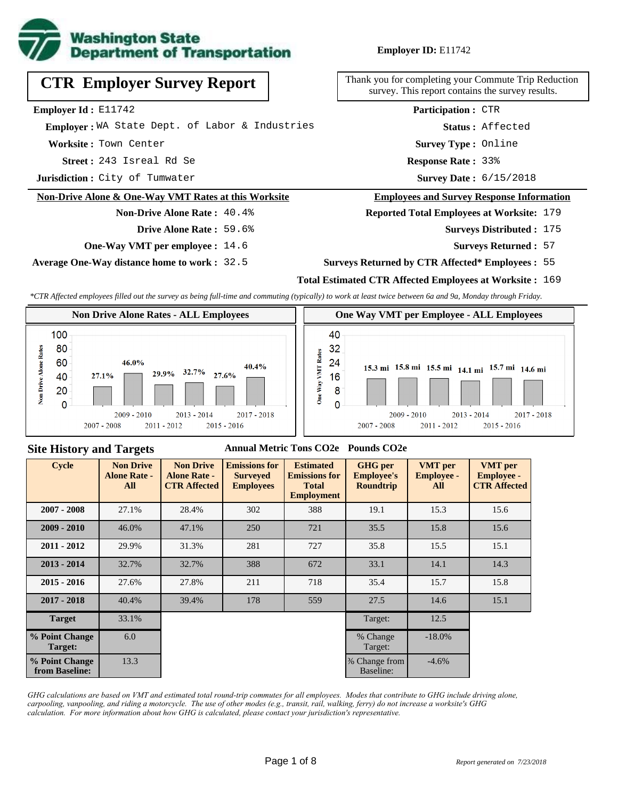

|  |  |  | <b>CTR Employer Survey Report</b> |  |  |
|--|--|--|-----------------------------------|--|--|
|--|--|--|-----------------------------------|--|--|

**Employer Id :** E11742

 **Employer :** WA State Dept. of Labor & Industries

**Worksite :** Town Center

243 Isreal Rd Se **Response Rate : Street :**

**Jurisdiction :** City of Tumwater

### **Non-Drive Alone & One-Way VMT Rates at this Worksite**

**Non-Drive Alone Rate :** 40.4% **Drive Alone Rate :** 59.6%

**One-Way VMT per employee :** 14.6

**Average One-Way distance home to work :** 32.5

Thank you for completing your Commute Trip Reduction survey. This report contains the survey results.

> Response Rate: 33% **Survey Type :** Online **Status :** Affected **Participation :** CTR

Survey Date: 6/15/2018

#### **Employees and Survey Response Information**

**Reported Total Employees at Worksite:** 179

- Surveys Distributed : 175
	- **Surveys Returned :** 57

### **Surveys Returned by CTR Affected\* Employees :** 55

### **Total Estimated CTR Affected Employees at Worksite :** 169

*\*CTR Affected employees filled out the survey as being full-time and commuting (typically) to work at least twice between 6a and 9a, Monday through Friday.*



### **Site History and Targets**

### **Annual Metric Tons CO2e Pounds CO2e**

| <b>Cycle</b>                     | <b>Non Drive</b><br><b>Alone Rate -</b><br>All | <b>Non Drive</b><br><b>Alone Rate -</b><br><b>CTR Affected</b> | <b>Emissions for</b><br><b>Surveyed</b><br><b>Employees</b> | <b>Estimated</b><br><b>Emissions for</b><br><b>Total</b><br><b>Employment</b> | <b>GHG</b> per<br><b>Employee's</b><br><b>Roundtrip</b> | <b>VMT</b> per<br><b>Employee -</b><br>All | <b>VMT</b> per<br><b>Employee -</b><br><b>CTR Affected</b> |
|----------------------------------|------------------------------------------------|----------------------------------------------------------------|-------------------------------------------------------------|-------------------------------------------------------------------------------|---------------------------------------------------------|--------------------------------------------|------------------------------------------------------------|
| $2007 - 2008$                    | 27.1%                                          | 28.4%                                                          | 302                                                         | 388                                                                           | 19.1                                                    | 15.3                                       | 15.6                                                       |
| $2009 - 2010$                    | 46.0%                                          | 47.1%                                                          | 250                                                         | 721                                                                           | 35.5                                                    | 15.8                                       | 15.6                                                       |
| $2011 - 2012$                    | 29.9%                                          | 31.3%                                                          | 281                                                         | 727                                                                           | 35.8                                                    | 15.5                                       | 15.1                                                       |
| $2013 - 2014$                    | 32.7%                                          | 32.7%                                                          | 388                                                         | 33.1<br>672                                                                   |                                                         | 14.1                                       | 14.3                                                       |
| $2015 - 2016$                    | 27.6%                                          | 27.8%                                                          | 211                                                         | 718                                                                           | 35.4                                                    | 15.7                                       | 15.8                                                       |
| $2017 - 2018$                    | 40.4%                                          | 39.4%                                                          | 178                                                         | 559                                                                           | 27.5                                                    | 14.6                                       | 15.1                                                       |
| <b>Target</b>                    | 33.1%                                          |                                                                |                                                             |                                                                               | Target:                                                 | 12.5                                       |                                                            |
| % Point Change<br>Target:        | 6.0                                            |                                                                |                                                             |                                                                               | % Change<br>Target:                                     | $-18.0%$                                   |                                                            |
| % Point Change<br>from Baseline: | 13.3                                           |                                                                |                                                             |                                                                               | % Change from<br>Baseline:                              | $-4.6%$                                    |                                                            |

*GHG calculations are based on VMT and estimated total round-trip commutes for all employees. Modes that contribute to GHG include driving alone, carpooling, vanpooling, and riding a motorcycle. The use of other modes (e.g., transit, rail, walking, ferry) do not increase a worksite's GHG calculation. For more information about how GHG is calculated, please contact your jurisdiction's representative.*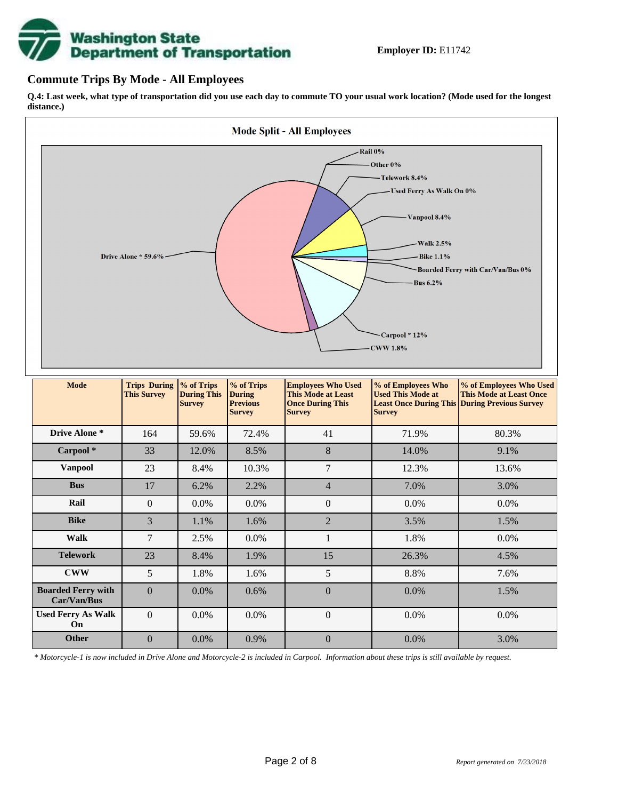

## **Commute Trips By Mode - All Employees**

**Q.4: Last week, what type of transportation did you use each day to commute TO your usual work location? (Mode used for the longest distance.)**



| <b>Mode</b>                              | <b>Trips During</b><br><b>This Survey</b> | % of Trips<br><b>During This</b><br><b>Survey</b> | % of Trips<br><b>During</b><br><b>Previous</b><br><b>Survey</b> | <b>Employees Who Used</b><br><b>This Mode at Least</b><br><b>Once During This</b><br><b>Survey</b> | % of Employees Who<br><b>Used This Mode at</b><br><b>Survey</b> | % of Employees Who Used<br><b>This Mode at Least Once</b><br><b>Least Once During This During Previous Survey</b> |  |  |  |  |  |  |  |      |
|------------------------------------------|-------------------------------------------|---------------------------------------------------|-----------------------------------------------------------------|----------------------------------------------------------------------------------------------------|-----------------------------------------------------------------|-------------------------------------------------------------------------------------------------------------------|--|--|--|--|--|--|--|------|
| Drive Alone *                            | 164<br>59.6%                              |                                                   | 72.4%                                                           | 41                                                                                                 | 71.9%                                                           | 80.3%                                                                                                             |  |  |  |  |  |  |  |      |
| Carpool*                                 | 33                                        | 12.0%                                             | 8.5%                                                            | 8                                                                                                  | 14.0%                                                           | 9.1%                                                                                                              |  |  |  |  |  |  |  |      |
| <b>Vanpool</b>                           | 23                                        | 8.4%                                              | 10.3%                                                           | 7                                                                                                  | 12.3%                                                           | 13.6%                                                                                                             |  |  |  |  |  |  |  |      |
| <b>Bus</b>                               | 17                                        | 6.2%                                              | 2.2%                                                            | $\overline{4}$<br>7.0%                                                                             |                                                                 | 3.0%                                                                                                              |  |  |  |  |  |  |  |      |
| Rail                                     | $\overline{0}$                            | $0.0\%$<br>$0.0\%$                                |                                                                 | $\overline{0}$                                                                                     | $0.0\%$                                                         | $0.0\%$                                                                                                           |  |  |  |  |  |  |  |      |
| <b>Bike</b>                              | 3                                         | 1.1%                                              | 1.6%                                                            | $\overline{2}$<br>3.5%                                                                             |                                                                 | 1.5%                                                                                                              |  |  |  |  |  |  |  |      |
| Walk                                     | 7                                         | 2.5%                                              | $0.0\%$                                                         | $\mathbf{1}$                                                                                       | 1.8%                                                            | 0.0%                                                                                                              |  |  |  |  |  |  |  |      |
| <b>Telework</b>                          | 23                                        | 8.4%                                              | 1.9%                                                            | 15                                                                                                 | 26.3%                                                           | 4.5%                                                                                                              |  |  |  |  |  |  |  |      |
| <b>CWW</b>                               | 5                                         | 1.8%                                              | 1.6%                                                            | 5                                                                                                  | 8.8%                                                            | 7.6%                                                                                                              |  |  |  |  |  |  |  |      |
| <b>Boarded Ferry with</b><br>Car/Van/Bus | $\Omega$                                  | $\overline{0}$<br>$0.0\%$<br>0.6%                 |                                                                 |                                                                                                    |                                                                 | 0.0%                                                                                                              |  |  |  |  |  |  |  | 1.5% |
| <b>Used Ferry As Walk</b><br>On          | $\Omega$                                  | 0.0%                                              | 0.0%                                                            | $\boldsymbol{0}$                                                                                   | 0.0%                                                            | 0.0%                                                                                                              |  |  |  |  |  |  |  |      |
| <b>Other</b>                             | $\Omega$                                  | $0.0\%$                                           | 0.9%                                                            | $\boldsymbol{0}$                                                                                   | $0.0\%$                                                         | 3.0%                                                                                                              |  |  |  |  |  |  |  |      |

*\* Motorcycle-1 is now included in Drive Alone and Motorcycle-2 is included in Carpool. Information about these trips is still available by request.*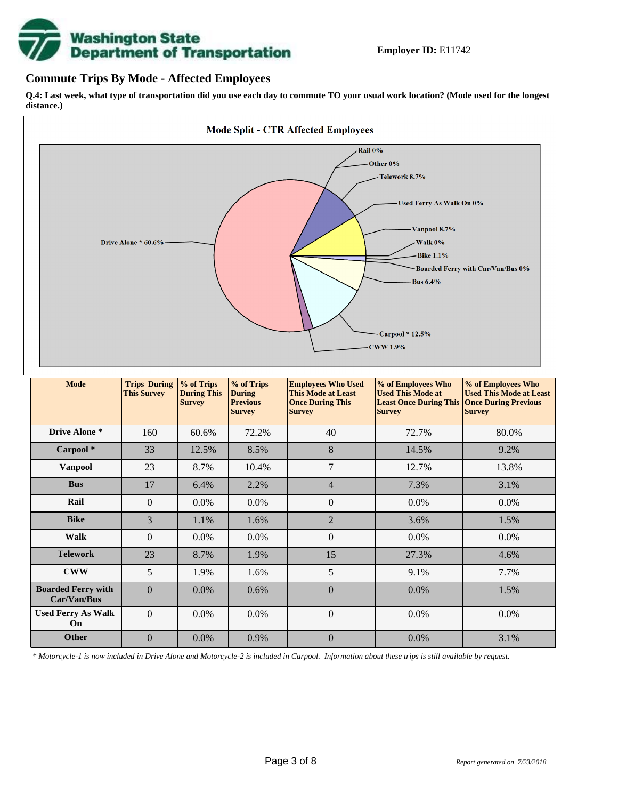

### **Commute Trips By Mode - Affected Employees**

**Q.4: Last week, what type of transportation did you use each day to commute TO your usual work location? (Mode used for the longest distance.)**



*\* Motorcycle-1 is now included in Drive Alone and Motorcycle-2 is included in Carpool. Information about these trips is still available by request.*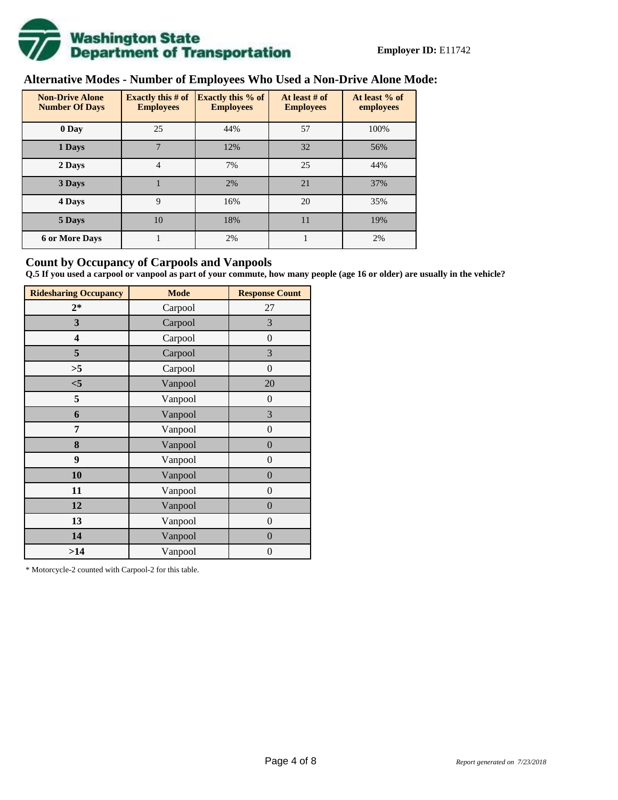

# **Alternative Modes - Number of Employees Who Used a Non-Drive Alone Mode:**

| <b>Non-Drive Alone</b><br><b>Number Of Days</b> | Exactly this $#$ of<br><b>Employees</b> | Exactly this % of<br><b>Employees</b> | At least # of<br><b>Employees</b> | At least % of<br>employees |
|-------------------------------------------------|-----------------------------------------|---------------------------------------|-----------------------------------|----------------------------|
| 0 Day                                           | 25                                      | 44%                                   | 57                                | 100%                       |
| 1 Days                                          | 7                                       | 12%                                   | 32                                | 56%                        |
| 2 Days                                          | 4                                       | 7%                                    | 25                                | 44%                        |
| 3 Days                                          |                                         | 2%                                    | 21                                | 37%                        |
| 4 Days                                          | 9                                       | 16%                                   | 20                                | 35%                        |
| 5 Days                                          | 10                                      | 18%                                   | 11                                | 19%                        |
| <b>6 or More Days</b>                           |                                         | 2%                                    |                                   | 2%                         |

### **Count by Occupancy of Carpools and Vanpools**

**Q.5 If you used a carpool or vanpool as part of your commute, how many people (age 16 or older) are usually in the vehicle?**

| <b>Ridesharing Occupancy</b> | <b>Mode</b> | <b>Response Count</b> |
|------------------------------|-------------|-----------------------|
| $2*$                         | Carpool     | 27                    |
| 3                            | Carpool     | 3                     |
| 4                            | Carpool     | $\boldsymbol{0}$      |
| 5                            | Carpool     | 3                     |
| >5                           | Carpool     | $\boldsymbol{0}$      |
| $<$ 5                        | Vanpool     | 20                    |
| 5                            | Vanpool     | $\boldsymbol{0}$      |
| 6                            | Vanpool     | 3                     |
| 7                            | Vanpool     | $\boldsymbol{0}$      |
| 8                            | Vanpool     | $\overline{0}$        |
| 9                            | Vanpool     | $\overline{0}$        |
| 10                           | Vanpool     | $\overline{0}$        |
| 11                           | Vanpool     | $\boldsymbol{0}$      |
| 12                           | Vanpool     | $\boldsymbol{0}$      |
| 13                           | Vanpool     | $\boldsymbol{0}$      |
| 14                           | Vanpool     | $\overline{0}$        |
| >14                          | Vanpool     | $\boldsymbol{0}$      |

\* Motorcycle-2 counted with Carpool-2 for this table.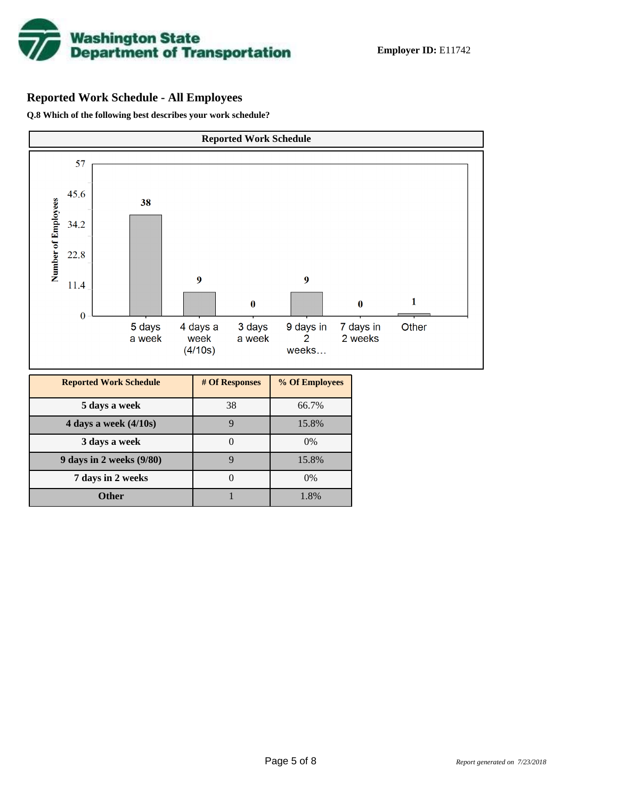

# **Reported Work Schedule - All Employees**

**Q.8 Which of the following best describes your work schedule?**

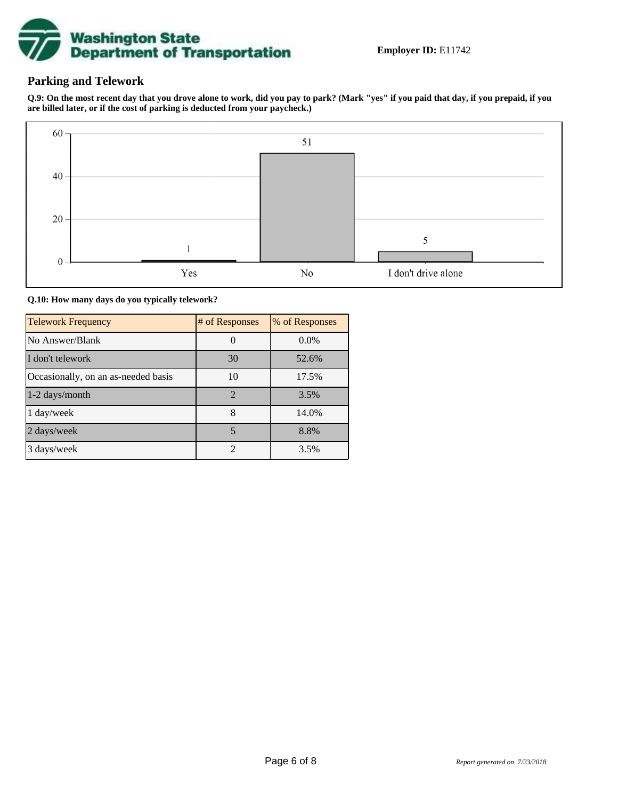

### **Parking and Telework**

**Q.9: On the most recent day that you drove alone to work, did you pay to park? (Mark "yes" if you paid that day, if you prepaid, if you are billed later, or if the cost of parking is deducted from your paycheck.)**



**Q.10: How many days do you typically telework?**

| <b>Telework Frequency</b>           | # of Responses | % of Responses |
|-------------------------------------|----------------|----------------|
| No Answer/Blank                     |                | $0.0\%$        |
| I don't telework                    | 30             | 52.6%          |
| Occasionally, on an as-needed basis | 10             | 17.5%          |
| 1-2 days/month                      | $\overline{2}$ | 3.5%           |
| 1 day/week                          | 8              | 14.0%          |
| 2 days/week                         | 5              | 8.8%           |
| 3 days/week                         | $\mathfrak{D}$ | 3.5%           |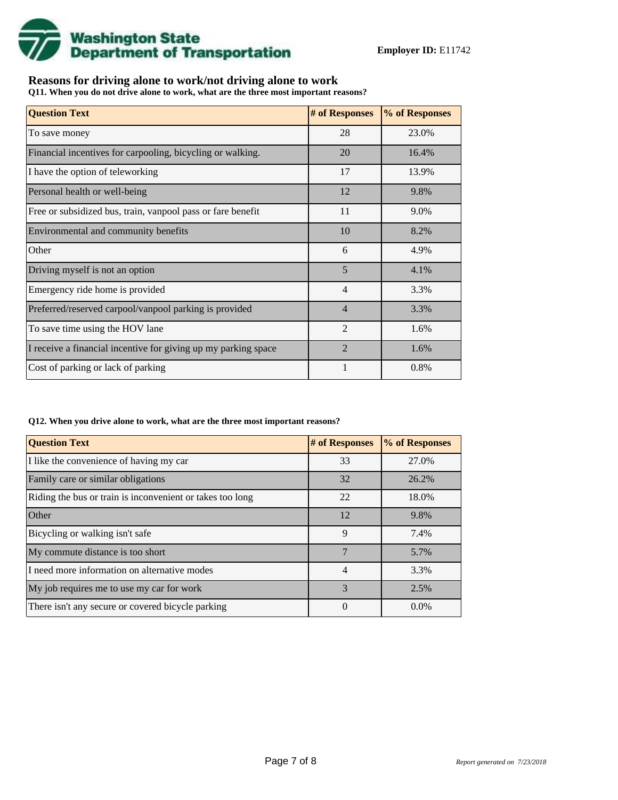

## **Reasons for driving alone to work/not driving alone to work**

**Q11. When you do not drive alone to work, what are the three most important reasons?**

| <b>Question Text</b>                                           | # of Responses | % of Responses |
|----------------------------------------------------------------|----------------|----------------|
| To save money                                                  | 28             | 23.0%          |
| Financial incentives for carpooling, bicycling or walking.     | 20             | 16.4%          |
| I have the option of teleworking                               | 17             | 13.9%          |
| Personal health or well-being                                  | 12             | 9.8%           |
| Free or subsidized bus, train, vanpool pass or fare benefit    | 11             | 9.0%           |
| Environmental and community benefits                           | 10             | 8.2%           |
| Other                                                          | 6              | 4.9%           |
| Driving myself is not an option                                | 5              | 4.1%           |
| Emergency ride home is provided                                | $\overline{4}$ | 3.3%           |
| Preferred/reserved carpool/vanpool parking is provided         | $\overline{4}$ | 3.3%           |
| To save time using the HOV lane                                | $\overline{2}$ | 1.6%           |
| I receive a financial incentive for giving up my parking space | $\mathfrak{D}$ | 1.6%           |
| Cost of parking or lack of parking                             | 1              | 0.8%           |

### **Q12. When you drive alone to work, what are the three most important reasons?**

| <b>Question Text</b>                                      | # of Responses | % of Responses |
|-----------------------------------------------------------|----------------|----------------|
| I like the convenience of having my car                   | 33             | 27.0%          |
| Family care or similar obligations                        | 32             | 26.2%          |
| Riding the bus or train is inconvenient or takes too long | 22             | 18.0%          |
| <b>Other</b>                                              | 12             | 9.8%           |
| Bicycling or walking isn't safe                           | 9              | 7.4%           |
| My commute distance is too short                          | 7              | 5.7%           |
| I need more information on alternative modes              | $\overline{4}$ | 3.3%           |
| My job requires me to use my car for work                 | 3              | 2.5%           |
| There isn't any secure or covered bicycle parking         | 0              | $0.0\%$        |